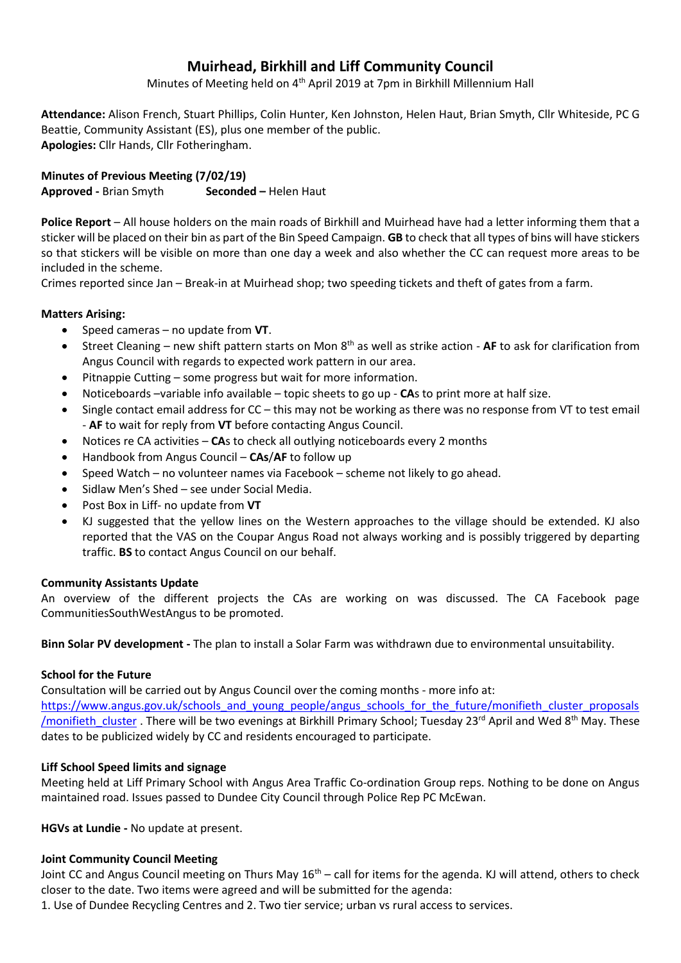# **Muirhead, Birkhill and Liff Community Council**

Minutes of Meeting held on 4<sup>th</sup> April 2019 at 7pm in Birkhill Millennium Hall

**Attendance:** Alison French, Stuart Phillips, Colin Hunter, Ken Johnston, Helen Haut, Brian Smyth, Cllr Whiteside, PC G Beattie, Community Assistant (ES), plus one member of the public. **Apologies:** Cllr Hands, Cllr Fotheringham.

**Minutes of Previous Meeting (7/02/19) Approved -** Brian Smyth **Seconded –** Helen Haut

**Police Report** – All house holders on the main roads of Birkhill and Muirhead have had a letter informing them that a sticker will be placed on their bin as part of the Bin Speed Campaign. **GB** to check that all types of bins will have stickers so that stickers will be visible on more than one day a week and also whether the CC can request more areas to be included in the scheme.

Crimes reported since Jan – Break-in at Muirhead shop; two speeding tickets and theft of gates from a farm.

# **Matters Arising:**

- Speed cameras no update from **VT**.
- Street Cleaning new shift pattern starts on Mon 8th as well as strike action **AF** to ask for clarification from Angus Council with regards to expected work pattern in our area.
- Pitnappie Cutting some progress but wait for more information.
- Noticeboards –variable info available topic sheets to go up **CA**s to print more at half size.
- Single contact email address for CC this may not be working as there was no response from VT to test email - **AF** to wait for reply from **VT** before contacting Angus Council.
- Notices re CA activities **CA**s to check all outlying noticeboards every 2 months
- Handbook from Angus Council **CAs**/**AF** to follow up
- Speed Watch no volunteer names via Facebook scheme not likely to go ahead.
- Sidlaw Men's Shed see under Social Media.
- Post Box in Liff- no update from **VT**
- KJ suggested that the yellow lines on the Western approaches to the village should be extended. KJ also reported that the VAS on the Coupar Angus Road not always working and is possibly triggered by departing traffic. **BS** to contact Angus Council on our behalf.

## **Community Assistants Update**

An overview of the different projects the CAs are working on was discussed. The CA Facebook page CommunitiesSouthWestAngus to be promoted.

**Binn Solar PV development -** The plan to install a Solar Farm was withdrawn due to environmental unsuitability.

## **School for the Future**

Consultation will be carried out by Angus Council over the coming months - more info at: [https://www.angus.gov.uk/schools\\_and\\_young\\_people/angus\\_schools\\_for\\_the\\_future/monifieth\\_cluster\\_proposals](https://www.angus.gov.uk/schools_and_young_people/angus_schools_for_the_future/monifieth_cluster_proposals/monifieth_cluster) /monifieth cluster . There will be two evenings at Birkhill Primary School; Tuesday 23<sup>rd</sup> April and Wed 8<sup>th</sup> May. These dates to be publicized widely by CC and residents encouraged to participate.

# **Liff School Speed limits and signage**

Meeting held at Liff Primary School with Angus Area Traffic Co-ordination Group reps. Nothing to be done on Angus maintained road. Issues passed to Dundee City Council through Police Rep PC McEwan.

**HGVs at Lundie -** No update at present.

## **Joint Community Council Meeting**

Joint CC and Angus Council meeting on Thurs May 16<sup>th</sup> – call for items for the agenda. KJ will attend, others to check closer to the date. Two items were agreed and will be submitted for the agenda:

1. Use of Dundee Recycling Centres and 2. Two tier service; urban vs rural access to services.